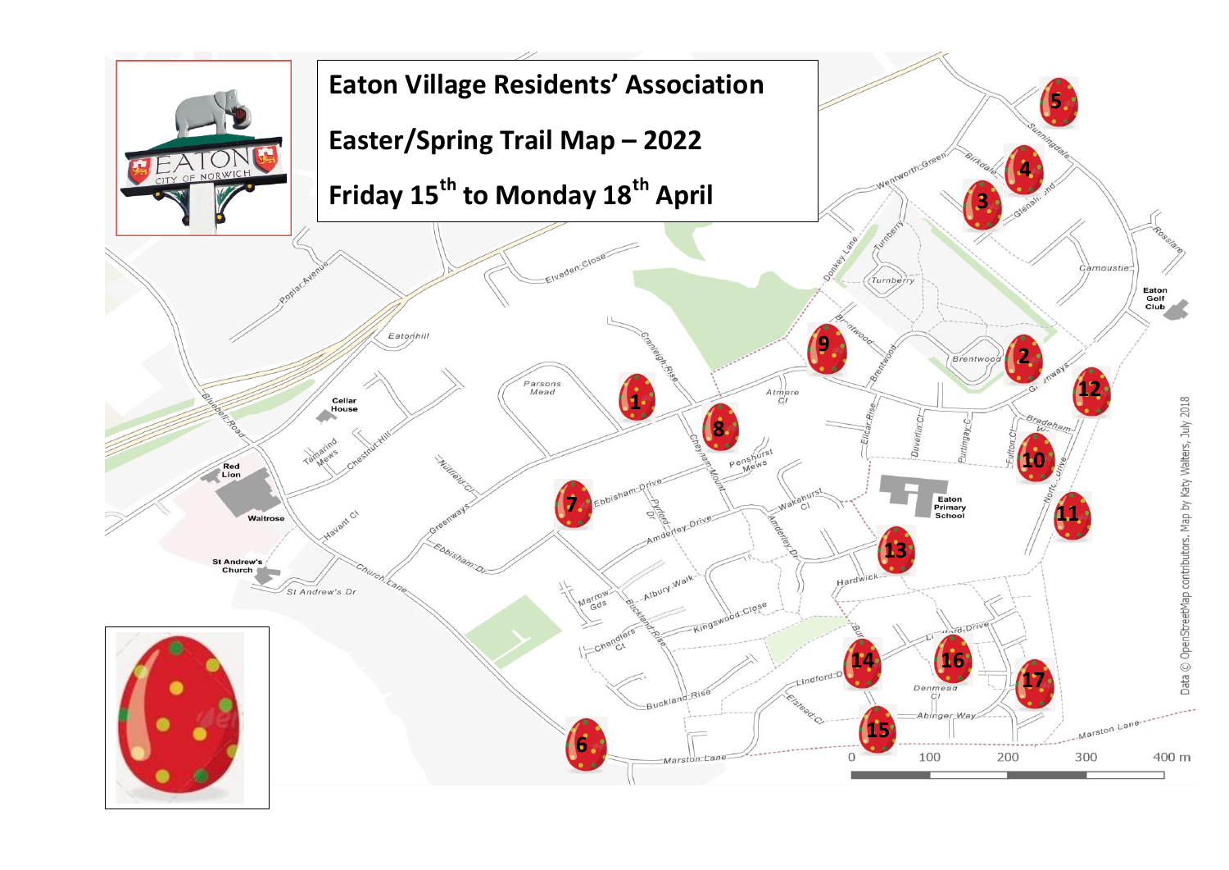